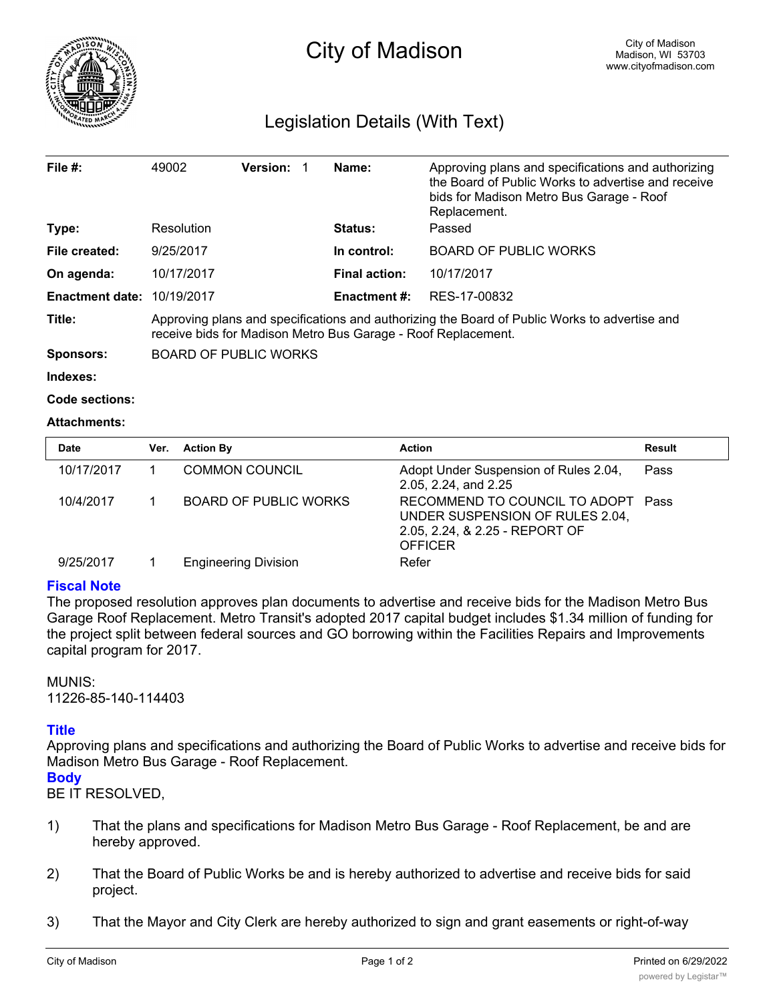

# Legislation Details (With Text)

| File $#$ :             | 49002                                                                                                                                                          | <b>Version:</b> |  | Name:                | Approving plans and specifications and authorizing<br>the Board of Public Works to advertise and receive |  |  |
|------------------------|----------------------------------------------------------------------------------------------------------------------------------------------------------------|-----------------|--|----------------------|----------------------------------------------------------------------------------------------------------|--|--|
|                        |                                                                                                                                                                |                 |  |                      | bids for Madison Metro Bus Garage - Roof<br>Replacement.                                                 |  |  |
| Type:                  | Resolution                                                                                                                                                     |                 |  | <b>Status:</b>       | Passed                                                                                                   |  |  |
| File created:          | 9/25/2017                                                                                                                                                      |                 |  | In control:          | <b>BOARD OF PUBLIC WORKS</b>                                                                             |  |  |
| On agenda:             | 10/17/2017                                                                                                                                                     |                 |  | <b>Final action:</b> | 10/17/2017                                                                                               |  |  |
| <b>Enactment date:</b> | 10/19/2017                                                                                                                                                     |                 |  | <b>Enactment #:</b>  | RES-17-00832                                                                                             |  |  |
| Title:                 | Approving plans and specifications and authorizing the Board of Public Works to advertise and<br>receive bids for Madison Metro Bus Garage - Roof Replacement. |                 |  |                      |                                                                                                          |  |  |
| <b>Sponsors:</b>       | <b>BOARD OF PUBLIC WORKS</b>                                                                                                                                   |                 |  |                      |                                                                                                          |  |  |

**Indexes:**

```
Code sections:
```
## **Attachments:**

| Date       | Ver. | <b>Action By</b>            | <b>Action</b>                                                                                                             | <b>Result</b> |
|------------|------|-----------------------------|---------------------------------------------------------------------------------------------------------------------------|---------------|
| 10/17/2017 |      | <b>COMMON COUNCIL</b>       | Adopt Under Suspension of Rules 2.04,<br>2.05, 2.24, and 2.25                                                             | Pass          |
| 10/4/2017  |      | BOARD OF PUBLIC WORKS       | RECOMMEND TO COUNCIL TO ADOPT Pass<br>UNDER SUSPENSION OF RULES 2.04,<br>2.05, 2.24, & 2.25 - REPORT OF<br><b>OFFICER</b> |               |
| 9/25/2017  |      | <b>Engineering Division</b> | Refer                                                                                                                     |               |

# **Fiscal Note**

The proposed resolution approves plan documents to advertise and receive bids for the Madison Metro Bus Garage Roof Replacement. Metro Transit's adopted 2017 capital budget includes \$1.34 million of funding for the project split between federal sources and GO borrowing within the Facilities Repairs and Improvements capital program for 2017.

## MUNIS:

11226-85-140-114403

## **Title**

Approving plans and specifications and authorizing the Board of Public Works to advertise and receive bids for Madison Metro Bus Garage - Roof Replacement.

**Body**

BE IT RESOLVED,

- 1) That the plans and specifications for Madison Metro Bus Garage Roof Replacement, be and are hereby approved.
- 2) That the Board of Public Works be and is hereby authorized to advertise and receive bids for said project.
- 3) That the Mayor and City Clerk are hereby authorized to sign and grant easements or right-of-way